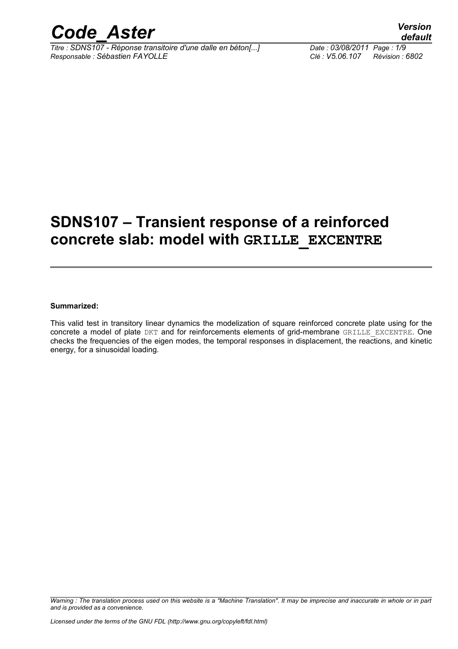

*Titre : SDNS107 - Réponse transitoire d'une dalle en béton[...] Date : 03/08/2011 Page : 1/9 Responsable : Sébastien FAYOLLE Clé : V5.06.107 Révision : 6802*

# **SDNS107 – Transient response of a reinforced concrete slab: model with GRILLE\_EXCENTRE**

#### **Summarized:**

This valid test in transitory linear dynamics the modelization of square reinforced concrete plate using for the concrete a model of plate DKT and for reinforcements elements of grid-membrane GRILLE EXCENTRE. One checks the frequencies of the eigen modes, the temporal responses in displacement, the reactions, and kinetic energy, for a sinusoidal loading.

*Warning : The translation process used on this website is a "Machine Translation". It may be imprecise and inaccurate in whole or in part and is provided as a convenience.*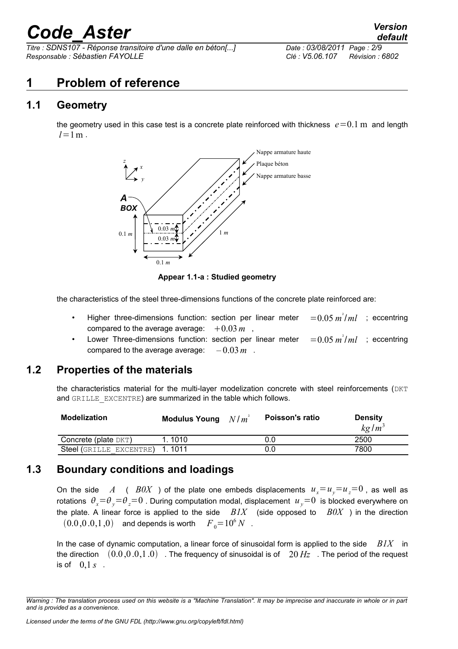*Titre : SDNS107 - Réponse transitoire d'une dalle en béton[...] Date : 03/08/2011 Page : 2/9 Responsable : Sébastien FAYOLLE Clé : V5.06.107 Révision : 6802*

# **1 Problem of reference**

### **1.1 Geometry**

the geometry used in this case test is a concrete plate reinforced with thickness  $e=0.1$  m and length  $l = 1$  m



**Appear 1.1-a : Studied geometry**

the characteristics of the steel three-dimensions functions of the concrete plate reinforced are:

- Higher three-dimensions function: section per linear meter ² /*ml* ; eccentring compared to the average average:  $+0.03\,m$ ,
- Lower Three-dimensions function: section per linear meter  $=$  0.05  $m^2/ml$  ; eccentring compared to the average average:  $-0.03 m$ .

#### **1.2 Properties of the materials**

the characteristics material for the multi-layer modelization concrete with steel reinforcements (DKT and GRILLE EXCENTRE) are summarized in the table which follows.

| <b>Modelization</b>     | <b>Modulus Young</b> | N/m | Poisson's ratio | <b>Density</b><br>$kg/m^3$ |
|-------------------------|----------------------|-----|-----------------|----------------------------|
| Concrete (plate $DKT$ ) | 1.1010               |     | 0.0             | 2500                       |
| Steel (GRILLE EXCENTRE) | 1.1011               |     | 0.0             | 7800                       |

### **1.3 Boundary conditions and loadings**

On the side A (  $B0X$  ) of the plate one embeds displacements  $u_x = u_y = u_z = 0$ , as well as rotations  $\theta_x = \theta_y = \theta_z = 0$ . During computation modal, displacement  $u_y = 0$  is blocked everywhere on the plate. A linear force is applied to the side  $BIX$  (side opposed to  $B0X$ ) in the direction  $(0.0, 0.0, 1, 0)$  and depends is worth  $F_0 = 10^6 N$ .

In the case of dynamic computation, a linear force of sinusoidal form is applied to the side *B1X* in the direction  $(0.0,0.0,1.0)$  . The frequency of sinusoidal is of  $20 Hz$ . The period of the request is of  $0, 1 s$ .

*Warning : The translation process used on this website is a "Machine Translation". It may be imprecise and inaccurate in whole or in part and is provided as a convenience.*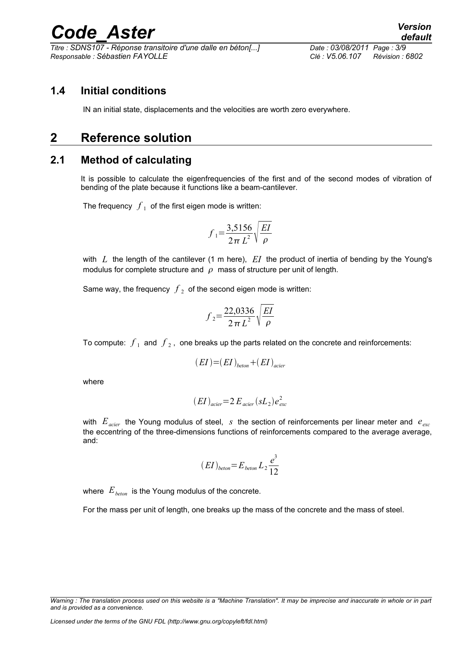*Titre : SDNS107 - Réponse transitoire d'une dalle en béton[...] Date : 03/08/2011 Page : 3/9 Responsable : Sébastien FAYOLLE Clé : V5.06.107 Révision : 6802*

### **1.4 Initial conditions**

IN an initial state, displacements and the velocities are worth zero everywhere.

# **2 Reference solution**

### **2.1 Method of calculating**

It is possible to calculate the eigenfrequencies of the first and of the second modes of vibration of bending of the plate because it functions like a beam-cantilever.

The frequency  $\left\langle f\right\rangle _{1}$  of the first eigen mode is written:

$$
f_1 = \frac{3,5156}{2\pi L^2} \sqrt{\frac{EI}{\rho}}
$$

with *L* the length of the cantilever (1 m here), *EI* the product of inertia of bending by the Young's modulus for complete structure and  $\rho$  mass of structure per unit of length.

Same way, the frequency  $\left|f\right|_2$  of the second eigen mode is written:

$$
f_2 = \frac{22,0336}{2\pi L^2} \sqrt{\frac{EI}{\rho}}
$$

To compute:  $\,f_{\,1}\,$  and  $\,f_{\,2}$  , one breaks up the parts related on the concrete and reinforcements:

$$
(EI)=(EI)_{beton}+(EI)_{acier}
$$

where

$$
(EI)_{acier} = 2 E_{acier} (sL_2) e_{exc}^2
$$

with *Eacier* the Young modulus of steel, *s* the section of reinforcements per linear meter and *eexc* the eccentring of the three-dimensions functions of reinforcements compared to the average average, and:

$$
(EI)_{beton} = E_{beton} L_2 \frac{e^3}{12}
$$

where  $E_{\text{bottom}}$  is the Young modulus of the concrete.

For the mass per unit of length, one breaks up the mass of the concrete and the mass of steel.

*Warning : The translation process used on this website is a "Machine Translation". It may be imprecise and inaccurate in whole or in part and is provided as a convenience.*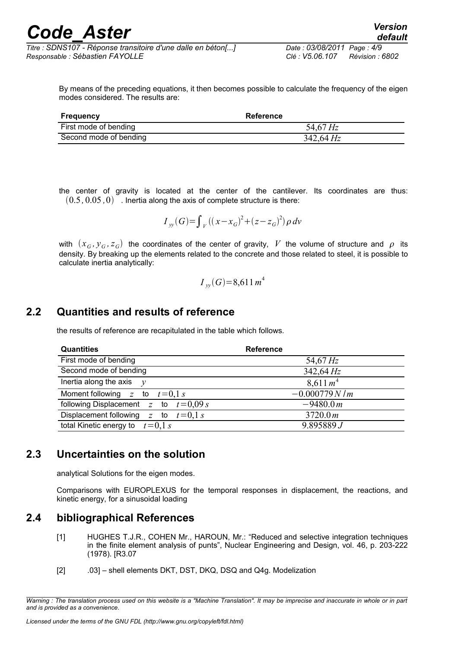By means of the preceding equations, it then becomes possible to calculate the frequency of the eigen modes considered. The results are:

| Frequency              | Reference      |
|------------------------|----------------|
| First mode of bending  | 54,67 Hz       |
| Second mode of bending | $342,64 \, Hz$ |

the center of gravity is located at the center of the cantilever. Its coordinates are thus:  $(0.5, 0.05, 0)$  . Inertia along the axis of complete structure is there:

$$
I_{y}(G) = \int_{V} ((x - x_{G})^{2} + (z - z_{G})^{2}) \rho \, dv
$$

with  $(x_{G},y_{G},z_{G})$  the coordinates of the center of gravity,  $\ V$  the volume of structure and  $\ \rho\;$  its density. By breaking up the elements related to the concrete and those related to steel, it is possible to calculate inertia analytically:

$$
I_{yy}(G)=8,611 m^4
$$

### **2.2 Quantities and results of reference**

the results of reference are recapitulated in the table which follows.

| <b>Quantities</b>                        | <b>Reference</b>     |
|------------------------------------------|----------------------|
| First mode of bending                    | 54,67 $Hz$           |
| Second mode of bending                   | $342,64 \, Hz$       |
| Inertia along the axis $v$               | 8,611 m <sup>4</sup> |
| Moment following z to $t=0.1 s$          | $-0.000779 N/m$      |
| following Displacement $z$ to $t=0.09 s$ | $-9480.0 m$          |
| Displacement following z to $t=0.1 s$    | 3720.0 m             |
| total Kinetic energy to<br>$t = 0.1 s$   | 9.895889J            |

### **2.3 Uncertainties on the solution**

analytical Solutions for the eigen modes.

Comparisons with EUROPLEXUS for the temporal responses in displacement, the reactions, and kinetic energy, for a sinusoidal loading

#### **2.4 bibliographical References**

- [1] HUGHES T.J.R., COHEN Mr., HAROUN, Mr.: "Reduced and selective integration techniques in the finite element analysis of punts", Nuclear Engineering and Design, vol. 46, p. 203-222 (1978). [R3.07
- [2] .03] shell elements DKT, DST, DKQ, DSQ and Q4g. Modelization

*Warning : The translation process used on this website is a "Machine Translation". It may be imprecise and inaccurate in whole or in part and is provided as a convenience.*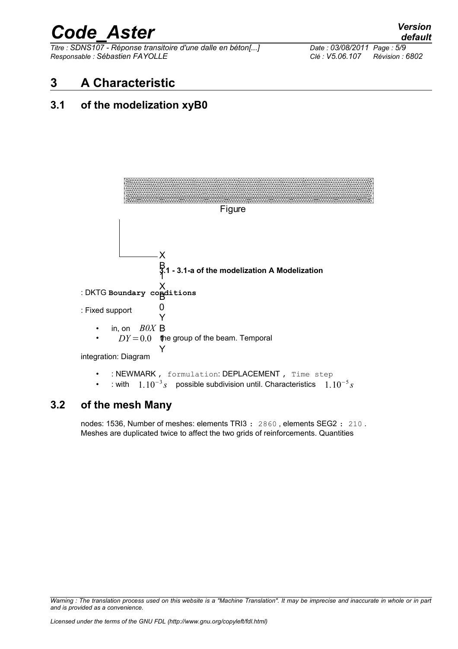*Titre : SDNS107 - Réponse transitoire d'une dalle en béton[...] Date : 03/08/2011 Page : 5/9 Responsable : Sébastien FAYOLLE Clé : V5.06.107 Révision : 6802*

# **3 A Characteristic**

### **3.1 of the modelization xyB0**



### **3.2 of the mesh Many**

nodes: 1536, Number of meshes: elements TRI3 : 2860 , elements SEG2 : 210 . Meshes are duplicated twice to affect the two grids of reinforcements. Quantities

*Warning : The translation process used on this website is a "Machine Translation". It may be imprecise and inaccurate in whole or in part and is provided as a convenience.*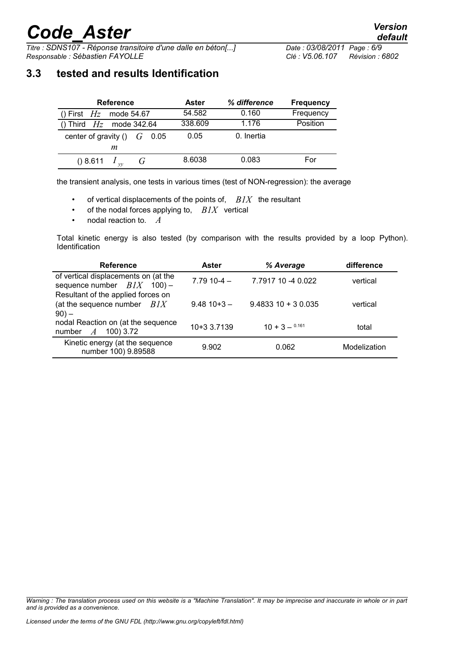*Titre : SDNS107 - Réponse transitoire d'une dalle en béton[...] Date : 03/08/2011 Page : 6/9 Responsable : Sébastien FAYOLLE Clé : V5.06.107 Révision : 6802*

# **3.3 tested and results Identification**

| <b>Reference</b>                | Aster   | % difference | <b>Frequency</b> |
|---------------------------------|---------|--------------|------------------|
| () First $Hz$ mode 54.67        | 54.582  | 0.160        | Frequency        |
| () Third $Hz$ mode 342.64       | 338,609 | 1.176        | Position         |
| center of gravity () $G = 0.05$ | 0.05    | 0. Inertia   |                  |
| m                               |         |              |                  |
| () 8.611                        | 8.6038  | 0.083        | For              |

the transient analysis, one tests in various times (test of NON-regression): the average

- of vertical displacements of the points of, *B1X* the resultant
- of the nodal forces applying to, *B1X* vertical
- nodal reaction to. *A*

Total kinetic energy is also tested (by comparison with the results provided by a loop Python). Identification

| <b>Reference</b>                                                               | <b>Aster</b> | % Average             | difference   |
|--------------------------------------------------------------------------------|--------------|-----------------------|--------------|
| of vertical displacements on (at the<br>sequence number $BIX$ 100) -           | $7.7910-4-$  | 7.7917 10 -4 0.022    | vertical     |
| Resultant of the applied forces on<br>(at the sequence number $BIX$<br>$90) -$ | $9.4810+3-$  | $9.4833$ 10 + 3 0.035 | vertical     |
| nodal Reaction on (at the sequence<br>number $A$<br>100) 3.72                  | 10+3 3.7139  | $10 + 3 - 0.161$      | total        |
| Kinetic energy (at the sequence<br>number 100) 9.89588                         | 9.902        | 0.062                 | Modelization |

*Warning : The translation process used on this website is a "Machine Translation". It may be imprecise and inaccurate in whole or in part and is provided as a convenience.*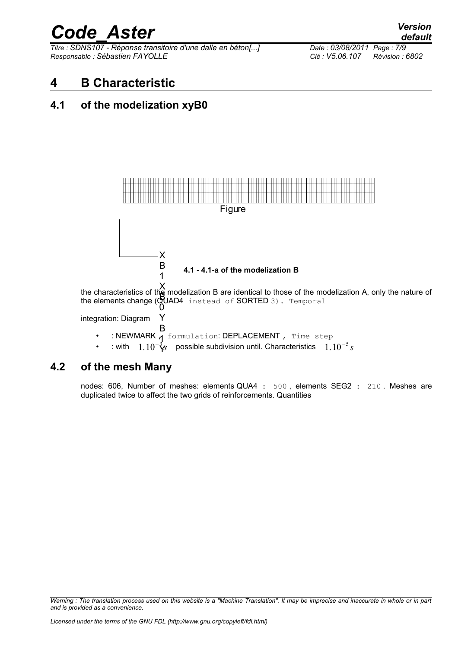*Titre : SDNS107 - Réponse transitoire d'une dalle en béton[...] Date : 03/08/2011 Page : 7/9 Responsable : Sébastien FAYOLLE Clé : V5.06.107 Révision : 6802*

# **4 B Characteristic**

### **4.1 of the modelization xyB0**



### **4.2 of the mesh Many**

nodes: 606, Number of meshes: elements QUA4 : 500 , elements SEG2 : 210 . Meshes are duplicated twice to affect the two grids of reinforcements. Quantities

*Warning : The translation process used on this website is a "Machine Translation". It may be imprecise and inaccurate in whole or in part and is provided as a convenience.*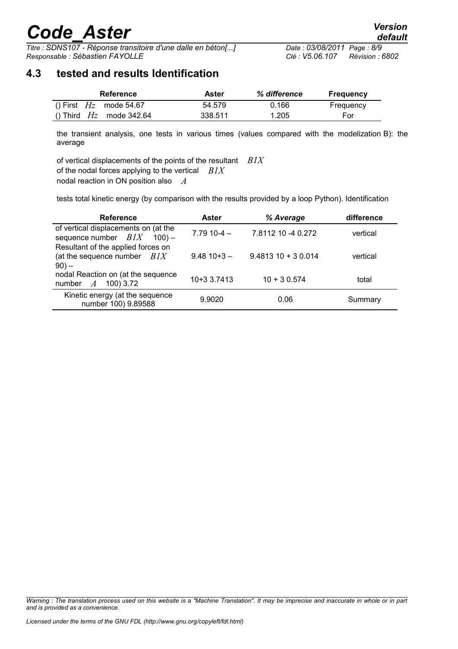*Titre : SDNS107 - Réponse transitoire d'une dalle en béton[...] Date : 03/08/2011 Page : 8/9 Responsable : Sébastien FAYOLLE Clé : V5.06.107 Révision : 6802*

### **4.3 tested and results Identification**

| Reference                 | Aster   | % difference | <b>Frequency</b> |
|---------------------------|---------|--------------|------------------|
| () First $Hz$ mode 54.67  | 54.579  | 0.166        | Frequency        |
| () Third $Hz$ mode 342.64 | 338.511 | 1.205        | For              |

the transient analysis, one tests in various times (values compared with the modelization B): the average

of vertical displacements of the points of the resultant *B1X* of the nodal forces applying to the vertical *B1X* nodal reaction in ON position also *A*

tests total kinetic energy (by comparison with the results provided by a loop Python). Identification

| <b>Reference</b>                                                               | Aster          | % Average           | difference |
|--------------------------------------------------------------------------------|----------------|---------------------|------------|
| of vertical displacements on (at the<br>sequence number $BIX$ 100) –           | $7.7910 - 4 -$ | 7.8112 10 -4 0.272  | vertical   |
| Resultant of the applied forces on<br>(at the sequence number $BIX$<br>$90) -$ | $9.4810+3-$    | $9.481310 + 30.014$ | vertical   |
| nodal Reaction on (at the sequence<br>100) 3.72<br>number $A$                  | 10+3 3.7413    | $10 + 30.574$       | total      |
| Kinetic energy (at the sequence<br>number 100) 9.89588                         | 9.9020         | 0.06                | Summary    |

*Warning : The translation process used on this website is a "Machine Translation". It may be imprecise and inaccurate in whole or in part and is provided as a convenience.*